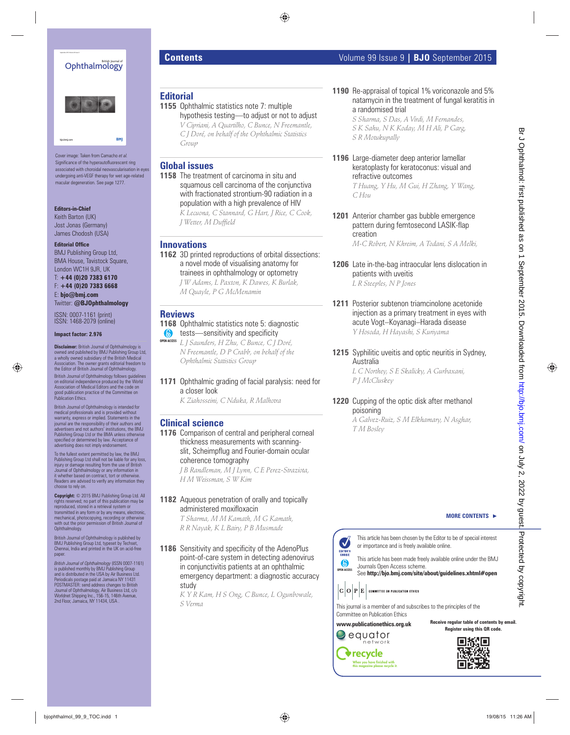# Ophthalmology



Cover image: Taken from Camacho *et al.*  Significance of the hyperautofluorescent ring associated with choroidal neovascularisation in eyes undergoing anti-VEGF therapy for wet age-related macular degeneration. See page 1277.

#### **Editors-in-Chief**

Keith Barton (UK) Jost Jonas (Germany) James Chodosh (USA)

#### **Editorial Office**

BMJ Publishing Group Ltd, BMA House, Tavistock Square, London WC1H 9JR, UK

T: **+44 (0)20 7383 6170** F: **+44 (0)20 7383 6668** E: **bjo@bmj.com** Twitter: **@BJOphthalmology**

ISSN: 0007-1161 (print) ISSN: 1468-2079 (online)

#### **Impact factor: 2.976**

**Disclaimer:** British Journal of Ophthalmology is owned and published by BMJ Publishing Group Ltd, a wholly owned subsidiary of the British Medical Association. The owner grants editorial freedom to the Editor of British Journal of Ophthalmology.

British Journal of Ophthalmology follows guidelines on editorial independence produced by the World Association of Medical Editors and the code on good publication practice of the Committee on Publication Ethics.

British Journal of Ophthalmology is intended for medical professionals and is provided without warranty, express or implied. Statements in the journal are the responsibility of their authors and advertisers and not authors' institutions, the BMJ Publishing Group Ltd or the BMA unless otherwise specifi ed or determined by law. Acceptance of advertising does not imply endorsement.

To the fullest extent permitted by law, the BMJ Publishing Group Ltd shall not be liable for any loss, injury or damage resulting from the use of British Journal of Ophthalmology or any information in it whether based on contract, tort or otherwise. Readers are advised to verify any information they choose to rely on.

**Copyright:** © 2015 BMJ Publishing Group Ltd. All rights reserved; no part of this publication may be reproduced, stored in a retrieval system or transmitted in any form or by any means, electronic, mechanical, photocopying, recording or otherwise with out the prior permission of British Journal of Ophthalmology.

British Journal of Ophthalmology is published by BMJ Publishing Group Ltd, typeset by Techset, Chennai, India and printed in the UK on acid-free paper

*British Journal of Ophthalmology (ISSN 0007-1161)*<br>is published monthly by BMJ Publishing Group<br>and is distributed in the USA by Air Business Ltd. Periodicals postage paid at Jamaica NY 11431 POSTMASTER: send address changes to British Journal of Ophthalmology, Air Business Ltd, c/o Worldnet Shipping Inc., 156-15, 146th Avenue, 2nd Floor, Jamaica, NY 11434, USA

# **Contents** Volume 99 Issue 9 **| BJO** September 2015

# **Editorial**

**1155** Ophthalmic statistics note 7: multiple hypothesis testing—to adjust or not to adjust *V Cipriani, A Quartilho, C Bunce, N Freemantle, C J Doré, on behalf of the Ophthalmic Statistics Group*

#### **Global issues**

**1158** The treatment of carcinoma in situ and squamous cell carcinoma of the conjunctiva with fractionated strontium-90 radiation in a population with a high prevalence of HIV *K Lecuona, C Stannard, G Hart, J Rice, C Cook, J Wetter, M Duffield* by the control of the control of the control of the control of the control of the control of the control of the control of the control of the control of the control of the control of the control of the control of the cont

## **Innovations**

**1162** 3D printed reproductions of orbital dissections: a novel mode of visualising anatomy for trainees in ophthalmology or optometry *J W Adams, L Paxton, K Dawes, K Burlak, M Quayle, P G McMenamin*

### **Reviews**

#### **1168** Ophthalmic statistics note 5: diagnostic  $\bullet$  tests—sensitivity and specificity

*L J Saunders, H Zhu, C Bunce, C J Doré,*  **OPEN ACCESS** *N Freemantle, D P Crabb, on behalf of the Ophthalmic Statistics Group*

#### **1171** Ophthalmic grading of facial paralysis: need for a closer look

*K Ziahosseini, C Nduka, R Malhotra*

#### **Clinical science**

**1176** Comparison of central and peripheral corneal thickness measurements with scanningslit, Scheimpflug and Fourier-domain ocular coherence tomography *J B Randleman, M J Lynn, C E Perez-Straziota,* 

*H M Weissman, S W Kim*

**1182** Aqueous penetration of orally and topically administered moxifloxacin *T Sharma, M M Kamath, M G Kamath,* 

*R R Nayak, K L Bairy, P B Musmade*

#### **1186** Sensitivity and specificity of the AdenoPlus point-of-care system in detecting adenovirus in conjunctivitis patients at an ophthalmic emergency department: a diagnostic accuracy study

*K Y R Kam, H S Ong, C Bunce, L Ogunbowale, S Verma* 

#### **1190** Re-appraisal of topical 1% voriconazole and 5% natamycin in the treatment of fungal keratitis in a randomised trial

*S Sharma, S Das, A Virdi, M Fernandes, S K Sahu, N K Koday, M H Ali, P Garg, S R Motukupally*

**1196** Large-diameter deep anterior lamellar keratoplasty for keratoconus: visual and refractive outcomes

> *T Huang, Y Hu, M Gui, H Zhang, Y Wang, C Hou*

**1201** Anterior chamber gas bubble emergence pattern during femtosecond LASIK-flap creation

*M-C Robert, N Khreim, A Todani, S A Melki,*

- **1206** Late in-the-bag intraocular lens dislocation in patients with uveitis *L R Steeples, N P Jones*
- **1211** Posterior subtenon triamcinolone acetonide injection as a primary treatment in eyes with acute Vogt–Koyanagi–Harada disease *Y Hosoda, H Hayashi, S Kuriyama*
- **1215** Syphilitic uveitis and optic neuritis in Sydney, Australia

*L C Northey, S E Skalicky, A Gurbaxani, P J McCluskey*

### **1220** Cupping of the optic disk after methanol poisoning

*A Galvez-Ruiz, S M Elkhamary, N Asghar, T M Bosley*

### **MORE CONTENTS** -

This article has been chosen by the Editor to be of special interest or importance and is freely available online.

**OPEN ACCESS** This article has been made freely available online under the BMJ Journals Open Access scheme.

See http://bjo.bmj.com/site/about/guidelines.xhtml#open

This journal is a member of and subscribes to the principles of the Committee on Publication Ethics **Receive regular table of contents by email.**

#### **www.publicationethics.org.uk**

**Register using this QR code.**